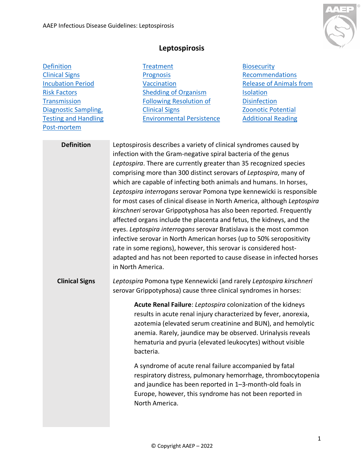

## **Leptospirosis**

<span id="page-0-1"></span><span id="page-0-0"></span>

| <b>Definition</b>           | <b>Treatment</b>                                                                                                                                                                                                                                                                                                                                                                                                                                                                                                                                                                                                                                                                                                                                                                                                                                                                                                                                                       | <b>Biosecurity</b>             |
|-----------------------------|------------------------------------------------------------------------------------------------------------------------------------------------------------------------------------------------------------------------------------------------------------------------------------------------------------------------------------------------------------------------------------------------------------------------------------------------------------------------------------------------------------------------------------------------------------------------------------------------------------------------------------------------------------------------------------------------------------------------------------------------------------------------------------------------------------------------------------------------------------------------------------------------------------------------------------------------------------------------|--------------------------------|
| <b>Clinical Signs</b>       | Prognosis                                                                                                                                                                                                                                                                                                                                                                                                                                                                                                                                                                                                                                                                                                                                                                                                                                                                                                                                                              | Recommendations                |
| <b>Incubation Period</b>    | Vaccination                                                                                                                                                                                                                                                                                                                                                                                                                                                                                                                                                                                                                                                                                                                                                                                                                                                                                                                                                            | <b>Release of Animals from</b> |
| <b>Risk Factors</b>         | Shedding of Organism                                                                                                                                                                                                                                                                                                                                                                                                                                                                                                                                                                                                                                                                                                                                                                                                                                                                                                                                                   | <b>Isolation</b>               |
| <b>Transmission</b>         | <b>Following Resolution of</b>                                                                                                                                                                                                                                                                                                                                                                                                                                                                                                                                                                                                                                                                                                                                                                                                                                                                                                                                         | <b>Disinfection</b>            |
| <b>Diagnostic Sampling,</b> | <b>Clinical Signs</b>                                                                                                                                                                                                                                                                                                                                                                                                                                                                                                                                                                                                                                                                                                                                                                                                                                                                                                                                                  | <b>Zoonotic Potential</b>      |
| <b>Testing and Handling</b> | <b>Environmental Persistence</b>                                                                                                                                                                                                                                                                                                                                                                                                                                                                                                                                                                                                                                                                                                                                                                                                                                                                                                                                       | <b>Additional Reading</b>      |
| Post-mortem                 |                                                                                                                                                                                                                                                                                                                                                                                                                                                                                                                                                                                                                                                                                                                                                                                                                                                                                                                                                                        |                                |
| <b>Definition</b>           | Leptospirosis describes a variety of clinical syndromes caused by<br>infection with the Gram-negative spiral bacteria of the genus<br>Leptospira. There are currently greater than 35 recognized species<br>comprising more than 300 distinct serovars of Leptospira, many of<br>which are capable of infecting both animals and humans. In horses,<br>Leptospira interrogans serovar Pomona type kennewicki is responsible<br>for most cases of clinical disease in North America, although Leptospira<br>kirschneri serovar Grippotyphosa has also been reported. Frequently<br>affected organs include the placenta and fetus, the kidneys, and the<br>eyes. Leptospira interrogans serovar Bratislava is the most common<br>infective serovar in North American horses (up to 50% seropositivity<br>rate in some regions), however, this serovar is considered host-<br>adapted and has not been reported to cause disease in infected horses<br>in North America. |                                |
| <b>Clinical Signs</b>       | Leptospira Pomona type Kennewicki (and rarely Leptospira kirschneri<br>serovar Grippotyphosa) cause three clinical syndromes in horses:                                                                                                                                                                                                                                                                                                                                                                                                                                                                                                                                                                                                                                                                                                                                                                                                                                |                                |
|                             | Acute Renal Failure: Leptospira colonization of the kidneys<br>results in acute renal injury characterized by fever, anorexia,<br>azotemia (elevated serum creatinine and BUN), and hemolytic<br>anemia. Rarely, jaundice may be observed. Urinalysis reveals<br>hematuria and pyuria (elevated leukocytes) without visible<br>bacteria.                                                                                                                                                                                                                                                                                                                                                                                                                                                                                                                                                                                                                               |                                |
|                             | A syndrome of acute renal failure accompanied by fatal<br>respiratory distress, pulmonary hemorrhage, thrombocytopenia<br>and jaundice has been reported in 1-3-month-old foals in<br>Europe, however, this syndrome has not been reported in<br>North America.                                                                                                                                                                                                                                                                                                                                                                                                                                                                                                                                                                                                                                                                                                        |                                |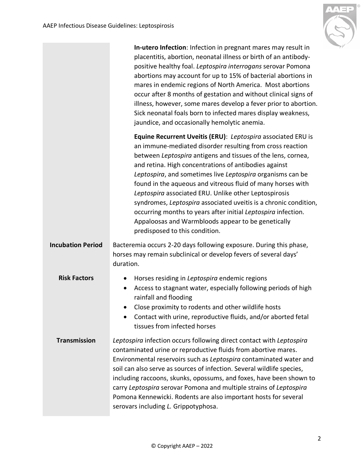

<span id="page-1-2"></span><span id="page-1-1"></span><span id="page-1-0"></span>

|                          | In-utero Infection: Infection in pregnant mares may result in<br>placentitis, abortion, neonatal illness or birth of an antibody-<br>positive healthy foal. Leptospira interrogans serovar Pomona<br>abortions may account for up to 15% of bacterial abortions in<br>mares in endemic regions of North America. Most abortions<br>occur after 8 months of gestation and without clinical signs of<br>illness, however, some mares develop a fever prior to abortion.<br>Sick neonatal foals born to infected mares display weakness,<br>jaundice, and occasionally hemolytic anemia.                                                                                 |  |
|--------------------------|-----------------------------------------------------------------------------------------------------------------------------------------------------------------------------------------------------------------------------------------------------------------------------------------------------------------------------------------------------------------------------------------------------------------------------------------------------------------------------------------------------------------------------------------------------------------------------------------------------------------------------------------------------------------------|--|
|                          | Equine Recurrent Uveitis (ERU): Leptospira associated ERU is<br>an immune-mediated disorder resulting from cross reaction<br>between Leptospira antigens and tissues of the lens, cornea,<br>and retina. High concentrations of antibodies against<br>Leptospira, and sometimes live Leptospira organisms can be<br>found in the aqueous and vitreous fluid of many horses with<br>Leptospira associated ERU. Unlike other Leptospirosis<br>syndromes, Leptospira associated uveitis is a chronic condition,<br>occurring months to years after initial Leptospira infection.<br>Appaloosas and Warmbloods appear to be genetically<br>predisposed to this condition. |  |
| <b>Incubation Period</b> | Bacteremia occurs 2-20 days following exposure. During this phase,<br>horses may remain subclinical or develop fevers of several days'<br>duration.                                                                                                                                                                                                                                                                                                                                                                                                                                                                                                                   |  |
| <b>Risk Factors</b>      | Horses residing in Leptospira endemic regions<br>$\bullet$<br>Access to stagnant water, especially following periods of high<br>$\bullet$<br>rainfall and flooding<br>Close proximity to rodents and other wildlife hosts<br>Contact with urine, reproductive fluids, and/or aborted fetal<br>tissues from infected horses                                                                                                                                                                                                                                                                                                                                            |  |
| <b>Transmission</b>      | Leptospira infection occurs following direct contact with Leptospira<br>contaminated urine or reproductive fluids from abortive mares.<br>Environmental reservoirs such as Leptospira contaminated water and<br>soil can also serve as sources of infection. Several wildlife species,<br>including raccoons, skunks, opossums, and foxes, have been shown to<br>carry Leptospira serovar Pomona and multiple strains of Leptospira<br>Pomona Kennewicki. Rodents are also important hosts for several<br>serovars including L. Grippotyphosa.                                                                                                                        |  |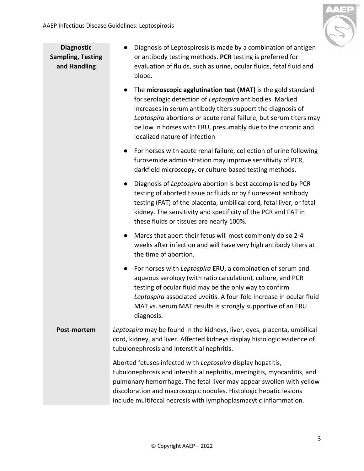

<span id="page-2-0"></span>**Diagnostic Sampling, Testing and Handling**

- Diagnosis of Leptospirosis is made by a combination of antigen or antibody testing methods. **PCR** testing is preferred for evaluation of fluids, such as urine, ocular fluids, fetal fluid and blood.
- The **microscopic agglutination test (MAT)** is the gold standard for serologic detection of *Leptospira* antibodies. Marked increases in serum antibody titers support the diagnosis of *Leptospira* abortions or acute renal failure, but serum titers may be low in horses with ERU, presumably due to the chronic and localized nature of infection
- For horses with acute renal failure, collection of urine following furosemide administration may improve sensitivity of PCR, darkfield microscopy, or culture-based testing methods.
- Diagnosis of *Leptospira* abortion is best accomplished by PCR testing of aborted tissue or fluids or by fluorescent antibody testing (FAT) of the placenta, umbilical cord, fetal liver, or fetal kidney. The sensitivity and specificity of the PCR and FAT in these fluids or tissues are nearly 100%.
- Mares that abort their fetus will most commonly do so 2-4 weeks after infection and will have very high antibody titers at the time of abortion.
- For horses with *Leptospira* ERU, a combination of serum and aqueous serology (with ratio calculation), culture, and PCR testing of ocular fluid may be the only way to confirm *Leptospira* associated uveitis. A four-fold increase in ocular fluid MAT vs. serum MAT results is strongly supportive of an ERU diagnosis.
- <span id="page-2-1"></span>**Post-mortem** *Leptospira* may be found in the kidneys, liver, eyes, placenta, umbilical cord, kidney, and liver. Affected kidneys display histologic evidence of tubulonephrosis and interstitial nephritis.

Aborted fetuses infected with *Leptospira* display hepatitis, tubulonephrosis and interstitial nephritis, meningitis, myocarditis, and pulmonary hemorrhage. The fetal liver may appear swollen with yellow discoloration and macroscopic nodules. Histologic hepatic lesions include multifocal necrosis with lymphoplasmacytic inflammation.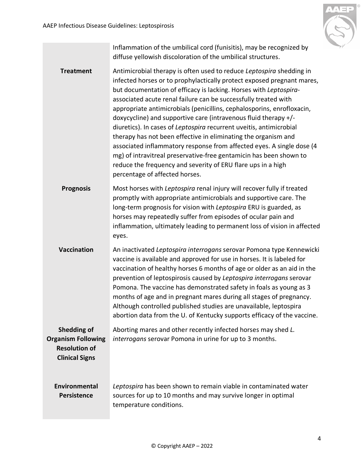

Inflammation of the umbilical cord (funisitis), may be recognized by diffuse yellowish discoloration of the umbilical structures.

<span id="page-3-1"></span><span id="page-3-0"></span>**Treatment** Antimicrobial therapy is often used to reduce *Leptospira* shedding in infected horses or to prophylactically protect exposed pregnant mares, but documentation of efficacy is lacking. Horses with *Leptospira*associated acute renal failure can be successfully treated with appropriate antimicrobials (penicillins, cephalosporins, enrofloxacin, doxycycline) and supportive care (intravenous fluid therapy +/ diuretics). In cases of *Leptospira* recurrent uveitis, antimicrobial therapy has not been effective in eliminating the organism and associated inflammatory response from affected eyes. A single dose (4 mg) of intravitreal preservative-free gentamicin has been shown to reduce the frequency and severity of ERU flare ups in a high percentage of affected horses. **Prognosis** Most horses with *Leptospira* renal injury will recover fully if treated promptly with appropriate antimicrobials and supportive care. The long-term prognosis for vision with *Leptospira* ERU is guarded, as horses may repeatedly suffer from episodes of ocular pain and inflammation, ultimately leading to permanent loss of vision in affected eyes. **Vaccination** An inactivated *Leptospira interrogans* serovar Pomona type Kennewicki vaccine is available and approved for use in horses. It is labeled for vaccination of healthy horses 6 months of age or older as an aid in the prevention of leptospirosis caused by *Leptospira interrogans* serovar Pomona. The vaccine has demonstrated safety in foals as young as 3 months of age and in pregnant mares during all stages of pregnancy. Although controlled published studies are unavailable, leptospira abortion data from the U. of Kentucky supports efficacy of the vaccine.

<span id="page-3-3"></span><span id="page-3-2"></span>**Shedding of Organism Following**  Aborting mares and other recently infected horses may shed *L. interrogans* serovar Pomona in urine for up to 3 months.

**Resolution of Clinical Signs**

> <span id="page-3-4"></span>**Environmental Persistence**

*Leptospira* has been shown to remain viable in contaminated water sources for up to 10 months and may survive longer in optimal temperature conditions.